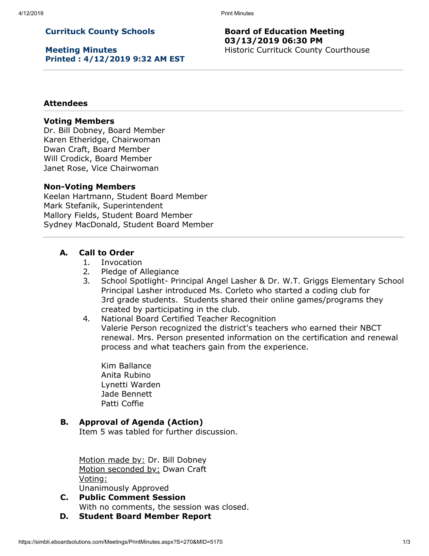# **Currituck County Schools**

**Meeting Minutes Printed : 4/12/2019 9:32 AM EST**

### **Board of Education Meeting 03/13/2019 06:30 PM** Historic Currituck County Courthouse

#### **Attendees**

#### **Voting Members**

Dr. Bill Dobney, Board Member Karen Etheridge, Chairwoman Dwan Craft, Board Member Will Crodick, Board Member Janet Rose, Vice Chairwoman

#### **Non-Voting Members**

Keelan Hartmann, Student Board Member Mark Stefanik, Superintendent Mallory Fields, Student Board Member Sydney MacDonald, Student Board Member

#### **A. Call to Order**

- 1. Invocation
- 2. Pledge of Allegiance
- 3. School Spotlight- Principal Angel Lasher & Dr. W.T. Griggs Elementary School Principal Lasher introduced Ms. Corleto who started a coding club for 3rd grade students. Students shared their online games/programs they created by participating in the club.
- 4. National Board Certified Teacher Recognition Valerie Person recognized the district's teachers who earned their NBCT renewal. Mrs. Person presented information on the certification and renewal process and what teachers gain from the experience.

Kim Ballance Anita Rubino Lynetti Warden Jade Bennett Patti Coffie

#### **B. Approval of Agenda (Action)**

Item 5 was tabled for further discussion.

Motion made by: Dr. Bill Dobney Motion seconded by: Dwan Craft Voting: Unanimously Approved

**C. Public Comment Session** With no comments, the session was closed.

**D. Student Board Member Report**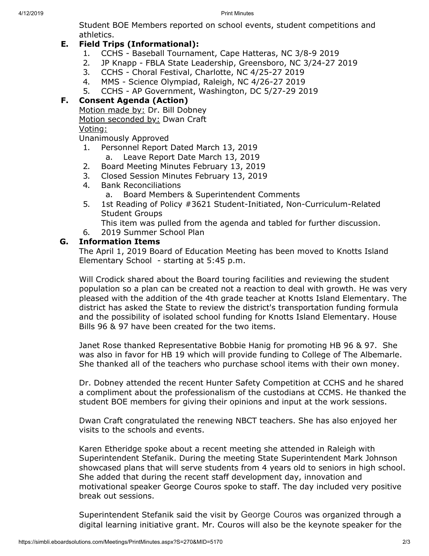4/12/2019 Print Minutes

Student BOE Members reported on school events, student competitions and athletics.

# **E. Field Trips (Informational):**

- 1. CCHS Baseball Tournament, Cape Hatteras, NC 3/8-9 2019
- 2. JP Knapp FBLA State Leadership, Greensboro, NC 3/24-27 2019
- 3. CCHS Choral Festival, Charlotte, NC 4/25-27 2019
- 4. MMS Science Olympiad, Raleigh, NC 4/26-27 2019
- 5. CCHS AP Government, Washington, DC 5/27-29 2019

# **F. Consent Agenda (Action)**

Motion made by: Dr. Bill Dobney

Motion seconded by: Dwan Craft

Voting:

Unanimously Approved

- 1. Personnel Report Dated March 13, 2019
	- a. Leave Report Date March 13, 2019
- 2. Board Meeting Minutes February 13, 2019
- 3. Closed Session Minutes February 13, 2019
- 4. Bank Reconciliations
	- a. Board Members & Superintendent Comments
- 5. 1st Reading of Policy #3621 Student-Initiated, Non-Curriculum-Related Student Groups
	- This item was pulled from the agenda and tabled for further discussion.
- 6. 2019 Summer School Plan

### **G. Information Items**

The April 1, 2019 Board of Education Meeting has been moved to Knotts Island Elementary School - starting at 5:45 p.m.

Will Crodick shared about the Board touring facilities and reviewing the student population so a plan can be created not a reaction to deal with growth. He was very pleased with the addition of the 4th grade teacher at Knotts Island Elementary. The district has asked the State to review the district's transportation funding formula and the possibility of isolated school funding for Knotts Island Elementary. House Bills 96 & 97 have been created for the two items.

Janet Rose thanked Representative Bobbie Hanig for promoting HB 96 & 97. She was also in favor for HB 19 which will provide funding to College of The Albemarle. She thanked all of the teachers who purchase school items with their own money.

Dr. Dobney attended the recent Hunter Safety Competition at CCHS and he shared a compliment about the professionalism of the custodians at CCMS. He thanked the student BOE members for giving their opinions and input at the work sessions.

Dwan Craft congratulated the renewing NBCT teachers. She has also enjoyed her visits to the schools and events.

Karen Etheridge spoke about a recent meeting she attended in Raleigh with Superintendent Stefanik. During the meeting State Superintendent Mark Johnson showcased plans that will serve students from 4 years old to seniors in high school. She added that during the recent staff development day, innovation and motivational speaker George Couros spoke to staff. The day included very positive break out sessions.

Superintendent Stefanik said the visit by George Couros was organized through a digital learning initiative grant. Mr. Couros will also be the keynote speaker for the